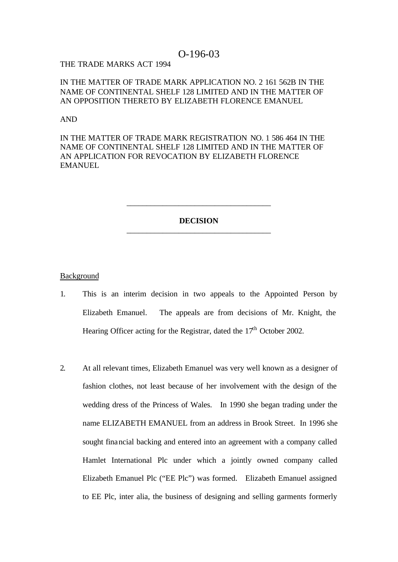# O-196-03

## THE TRADE MARKS ACT 1994

## IN THE MATTER OF TRADE MARK APPLICATION NO. 2 161 562B IN THE NAME OF CONTINENTAL SHELF 128 LIMITED AND IN THE MATTER OF AN OPPOSITION THERETO BY ELIZABETH FLORENCE EMANUEL

#### AND

IN THE MATTER OF TRADE MARK REGISTRATION NO. 1 586 464 IN THE NAME OF CONTINENTAL SHELF 128 LIMITED AND IN THE MATTER OF AN APPLICATION FOR REVOCATION BY ELIZABETH FLORENCE EMANUEL

### **DECISION** \_\_\_\_\_\_\_\_\_\_\_\_\_\_\_\_\_\_\_\_\_\_\_\_\_\_\_\_\_\_\_\_\_\_\_\_

\_\_\_\_\_\_\_\_\_\_\_\_\_\_\_\_\_\_\_\_\_\_\_\_\_\_\_\_\_\_\_\_\_\_\_\_

### Background

- 1. This is an interim decision in two appeals to the Appointed Person by Elizabeth Emanuel. The appeals are from decisions of Mr. Knight, the Hearing Officer acting for the Registrar, dated the  $17<sup>th</sup>$  October 2002.
- 2. At all relevant times, Elizabeth Emanuel was very well known as a designer of fashion clothes, not least because of her involvement with the design of the wedding dress of the Princess of Wales. In 1990 she began trading under the name ELIZABETH EMANUEL from an address in Brook Street. In 1996 she sought financial backing and entered into an agreement with a company called Hamlet International Plc under which a jointly owned company called Elizabeth Emanuel Plc ("EE Plc") was formed. Elizabeth Emanuel assigned to EE Plc, inter alia, the business of designing and selling garments formerly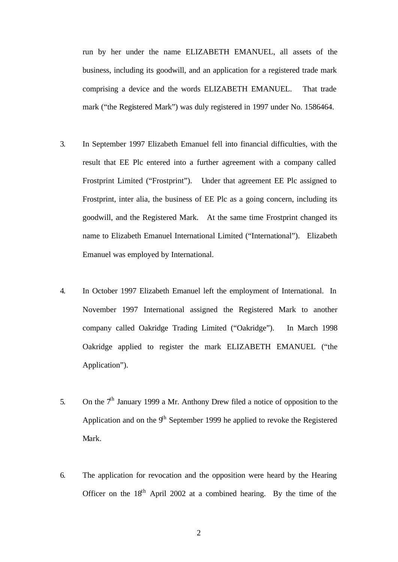run by her under the name ELIZABETH EMANUEL, all assets of the business, including its goodwill, and an application for a registered trade mark comprising a device and the words ELIZABETH EMANUEL. That trade mark ("the Registered Mark") was duly registered in 1997 under No. 1586464.

- 3. In September 1997 Elizabeth Emanuel fell into financial difficulties, with the result that EE Plc entered into a further agreement with a company called Frostprint Limited ("Frostprint"). Under that agreement EE Plc assigned to Frostprint, inter alia, the business of EE Plc as a going concern, including its goodwill, and the Registered Mark. At the same time Frostprint changed its name to Elizabeth Emanuel International Limited ("International"). Elizabeth Emanuel was employed by International.
- 4. In October 1997 Elizabeth Emanuel left the employment of International. In November 1997 International assigned the Registered Mark to another company called Oakridge Trading Limited ("Oakridge"). In March 1998 Oakridge applied to register the mark ELIZABETH EMANUEL ("the Application").
- 5. On the  $7<sup>th</sup>$  January 1999 a Mr. Anthony Drew filed a notice of opposition to the Application and on the  $9<sup>th</sup>$  September 1999 he applied to revoke the Registered Mark.
- 6. The application for revocation and the opposition were heard by the Hearing Officer on the  $18<sup>th</sup>$  April 2002 at a combined hearing. By the time of the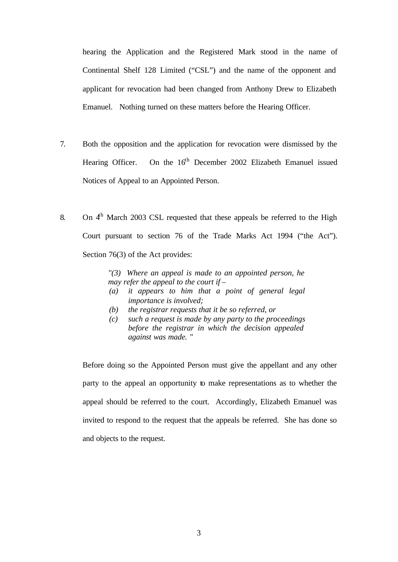hearing the Application and the Registered Mark stood in the name of Continental Shelf 128 Limited ("CSL") and the name of the opponent and applicant for revocation had been changed from Anthony Drew to Elizabeth Emanuel. Nothing turned on these matters before the Hearing Officer.

- 7. Both the opposition and the application for revocation were dismissed by the Hearing Officer. On the 16<sup>th</sup> December 2002 Elizabeth Emanuel issued Notices of Appeal to an Appointed Person.
- 8. On  $4<sup>th</sup>$  March 2003 CSL requested that these appeals be referred to the High Court pursuant to section 76 of the Trade Marks Act 1994 ("the Act"). Section 76(3) of the Act provides:

*"(3) Where an appeal is made to an appointed person, he may refer the appeal to the court if –*

- *(a) it appears to him that a point of general legal importance is involved;*
- *(b) the registrar requests that it be so referred, or*
- *(c) such a request is made by any party to the proceedings before the registrar in which the decision appealed against was made. "*

Before doing so the Appointed Person must give the appellant and any other party to the appeal an opportunity to make representations as to whether the appeal should be referred to the court. Accordingly, Elizabeth Emanuel was invited to respond to the request that the appeals be referred. She has done so and objects to the request.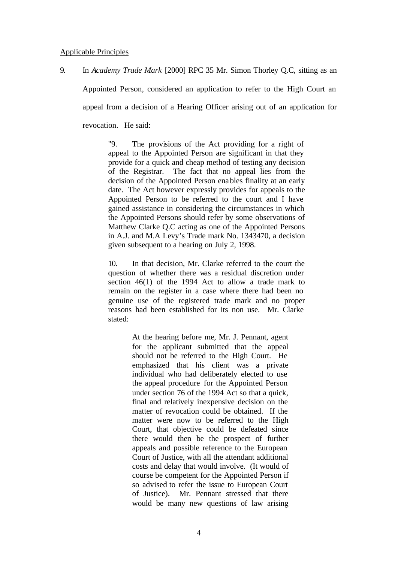#### Applicable Principles

9. In *Academy Trade Mark* [2000] RPC 35 Mr. Simon Thorley Q.C, sitting as an Appointed Person, considered an application to refer to the High Court an appeal from a decision of a Hearing Officer arising out of an application for revocation. He said:

> "9. The provisions of the Act providing for a right of appeal to the Appointed Person are significant in that they provide for a quick and cheap method of testing any decision of the Registrar. The fact that no appeal lies from the decision of the Appointed Person enables finality at an early date. The Act however expressly provides for appeals to the Appointed Person to be referred to the court and I have gained assistance in considering the circumstances in which the Appointed Persons should refer by some observations of Matthew Clarke Q.C acting as one of the Appointed Persons in A.J. and M.A Levy's Trade mark No. 1343470, a decision given subsequent to a hearing on July 2, 1998.

> 10. In that decision, Mr. Clarke referred to the court the question of whether there was a residual discretion under section 46(1) of the 1994 Act to allow a trade mark to remain on the register in a case where there had been no genuine use of the registered trade mark and no proper reasons had been established for its non use. Mr. Clarke stated:

> > At the hearing before me, Mr. J. Pennant, agent for the applicant submitted that the appeal should not be referred to the High Court. He emphasized that his client was a private individual who had deliberately elected to use the appeal procedure for the Appointed Person under section 76 of the 1994 Act so that a quick, final and relatively inexpensive decision on the matter of revocation could be obtained. If the matter were now to be referred to the High Court, that objective could be defeated since there would then be the prospect of further appeals and possible reference to the European Court of Justice, with all the attendant additional costs and delay that would involve. (It would of course be competent for the Appointed Person if so advised to refer the issue to European Court of Justice). Mr. Pennant stressed that there would be many new questions of law arising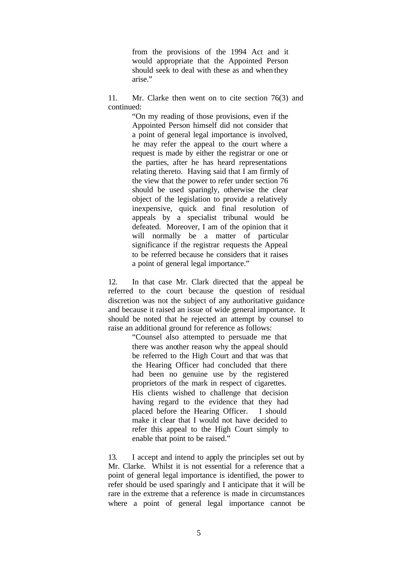from the provisions of the 1994 Act and it would appropriate that the Appointed Person should seek to deal with these as and when they arise."

11. Mr. Clarke then went on to cite section 76(3) and continued:

> "On my reading of those provisions, even if the Appointed Person himself did not consider that a point of general legal importance is involved, he may refer the appeal to the court where a request is made by either the registrar or one or the parties, after he has heard representations relating thereto. Having said that I am firmly of the view that the power to refer under section 76 should be used sparingly, otherwise the clear object of the legislation to provide a relatively inexpensive, quick and final resolution of appeals by a specialist tribunal would be defeated. Moreover, I am of the opinion that it will normally be a matter of particular significance if the registrar requests the Appeal to be referred because he considers that it raises a point of general legal importance."

12. In that case Mr. Clark directed that the appeal be referred to the court because the question of residual discretion was not the subject of any authoritative guidance and because it raised an issue of wide general importance. It should be noted that he rejected an attempt by counsel to raise an additional ground for reference as follows:

> "Counsel also attempted to persuade me that there was another reason why the appeal should be referred to the High Court and that was that the Hearing Officer had concluded that there had been no genuine use by the registered proprietors of the mark in respect of cigarettes. His clients wished to challenge that decision having regard to the evidence that they had placed before the Hearing Officer. I should make it clear that I would not have decided to refer this appeal to the High Court simply to enable that point to be raised."

13. I accept and intend to apply the principles set out by Mr. Clarke. Whilst it is not essential for a reference that a point of general legal importance is identified, the power to refer should be used sparingly and I anticipate that it will be rare in the extreme that a reference is made in circumstances where a point of general legal importance cannot be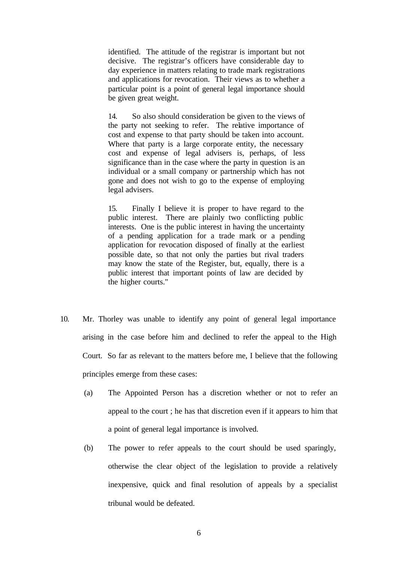identified. The attitude of the registrar is important but not decisive. The registrar's officers have considerable day to day experience in matters relating to trade mark registrations and applications for revocation. Their views as to whether a particular point is a point of general legal importance should be given great weight.

14. So also should consideration be given to the views of the party not seeking to refer. The relative importance of cost and expense to that party should be taken into account. Where that party is a large corporate entity, the necessary cost and expense of legal advisers is, perhaps, of less significance than in the case where the party in question is an individual or a small company or partnership which has not gone and does not wish to go to the expense of employing legal advisers.

15. Finally I believe it is proper to have regard to the public interest. There are plainly two conflicting public interests. One is the public interest in having the uncertainty of a pending application for a trade mark or a pending application for revocation disposed of finally at the earliest possible date, so that not only the parties but rival traders may know the state of the Register, but, equally, there is a public interest that important points of law are decided by the higher courts."

- 10. Mr. Thorley was unable to identify any point of general legal importance arising in the case before him and declined to refer the appeal to the High Court. So far as relevant to the matters before me, I believe that the following principles emerge from these cases:
	- (a) The Appointed Person has a discretion whether or not to refer an appeal to the court ; he has that discretion even if it appears to him that a point of general legal importance is involved.
	- (b) The power to refer appeals to the court should be used sparingly, otherwise the clear object of the legislation to provide a relatively inexpensive, quick and final resolution of appeals by a specialist tribunal would be defeated.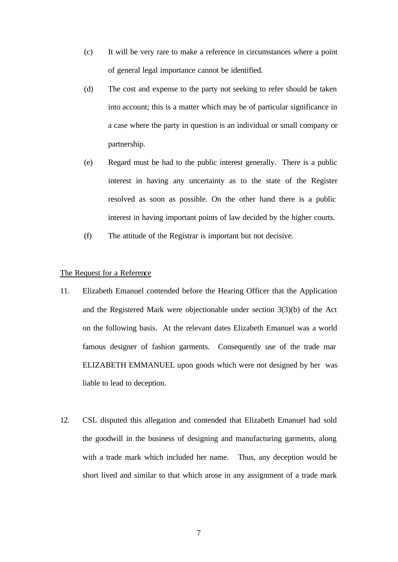- (c) It will be very rare to make a reference in circumstances where a point of general legal importance cannot be identified.
- (d) The cost and expense to the party not seeking to refer should be taken into account; this is a matter which may be of particular significance in a case where the party in question is an individual or small company or partnership.
- (e) Regard must be had to the public interest generally. There is a public interest in having any uncertainty as to the state of the Register resolved as soon as possible. On the other hand there is a public interest in having important points of law decided by the higher courts.
- (f) The attitude of the Registrar is important but not decisive.

#### The Request for a Reference

- 11. Elizabeth Emanuel contended before the Hearing Officer that the Application and the Registered Mark were objectionable under section 3(3)(b) of the Act on the following basis. At the relevant dates Elizabeth Emanuel was a world famous designer of fashion garments. Consequently use of the trade mar ELIZABETH EMMANUEL upon goods which were not designed by her was liable to lead to deception.
- 12. CSL disputed this allegation and contended that Elizabeth Emanuel had sold the goodwill in the business of designing and manufacturing garments, along with a trade mark which included her name. Thus, any deception would be short lived and similar to that which arose in any assignment of a trade mark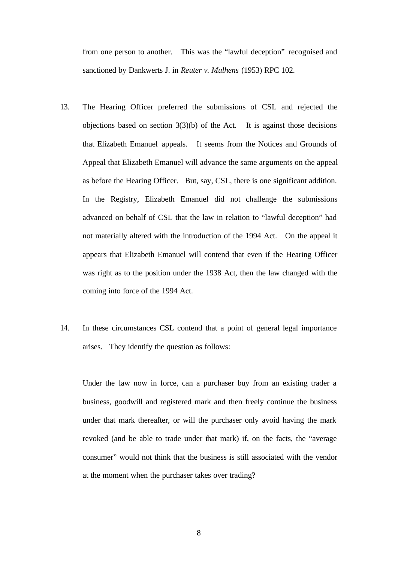from one person to another. This was the "lawful deception" recognised and sanctioned by Dankwerts J. in *Reuter v. Mulhens* (1953) RPC 102.

- 13. The Hearing Officer preferred the submissions of CSL and rejected the objections based on section  $3(3)(b)$  of the Act. It is against those decisions that Elizabeth Emanuel appeals. It seems from the Notices and Grounds of Appeal that Elizabeth Emanuel will advance the same arguments on the appeal as before the Hearing Officer. But, say, CSL, there is one significant addition. In the Registry, Elizabeth Emanuel did not challenge the submissions advanced on behalf of CSL that the law in relation to "lawful deception" had not materially altered with the introduction of the 1994 Act. On the appeal it appears that Elizabeth Emanuel will contend that even if the Hearing Officer was right as to the position under the 1938 Act, then the law changed with the coming into force of the 1994 Act.
- 14. In these circumstances CSL contend that a point of general legal importance arises. They identify the question as follows:

Under the law now in force, can a purchaser buy from an existing trader a business, goodwill and registered mark and then freely continue the business under that mark thereafter, or will the purchaser only avoid having the mark revoked (and be able to trade under that mark) if, on the facts, the "average consumer" would not think that the business is still associated with the vendor at the moment when the purchaser takes over trading?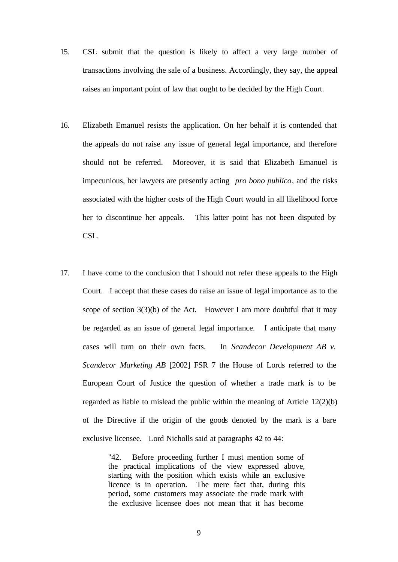- 15. CSL submit that the question is likely to affect a very large number of transactions involving the sale of a business. Accordingly, they say, the appeal raises an important point of law that ought to be decided by the High Court.
- 16. Elizabeth Emanuel resists the application. On her behalf it is contended that the appeals do not raise any issue of general legal importance, and therefore should not be referred. Moreover, it is said that Elizabeth Emanuel is impecunious, her lawyers are presently acting *pro bono publico*, and the risks associated with the higher costs of the High Court would in all likelihood force her to discontinue her appeals. This latter point has not been disputed by CSL.
- 17. I have come to the conclusion that I should not refer these appeals to the High Court. I accept that these cases do raise an issue of legal importance as to the scope of section  $3(3)(b)$  of the Act. However I am more doubtful that it may be regarded as an issue of general legal importance. I anticipate that many cases will turn on their own facts. In *Scandecor Development AB v. Scandecor Marketing AB* [2002] FSR 7 the House of Lords referred to the European Court of Justice the question of whether a trade mark is to be regarded as liable to mislead the public within the meaning of Article 12(2)(b) of the Directive if the origin of the goods denoted by the mark is a bare exclusive licensee. Lord Nicholls said at paragraphs 42 to 44:

"42. Before proceeding further I must mention some of the practical implications of the view expressed above, starting with the position which exists while an exclusive licence is in operation. The mere fact that, during this period, some customers may associate the trade mark with the exclusive licensee does not mean that it has become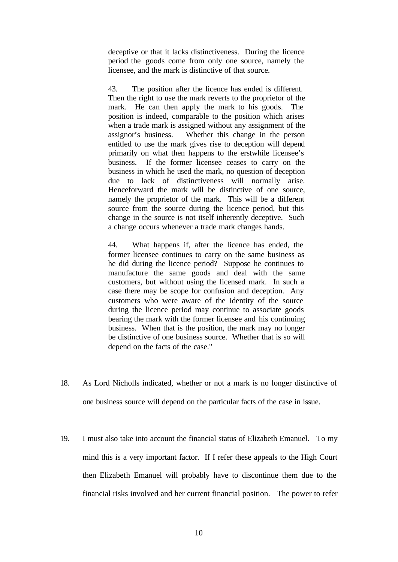deceptive or that it lacks distinctiveness. During the licence period the goods come from only one source, namely the licensee, and the mark is distinctive of that source.

43. The position after the licence has ended is different. Then the right to use the mark reverts to the proprietor of the mark. He can then apply the mark to his goods. The position is indeed, comparable to the position which arises when a trade mark is assigned without any assignment of the assignor's business. Whether this change in the person entitled to use the mark gives rise to deception will depend primarily on what then happens to the erstwhile licensee's business. If the former licensee ceases to carry on the business in which he used the mark, no question of deception due to lack of distinctiveness will normally arise. Henceforward the mark will be distinctive of one source, namely the proprietor of the mark. This will be a different source from the source during the licence period, but this change in the source is not itself inherently deceptive. Such a change occurs whenever a trade mark changes hands.

44. What happens if, after the licence has ended, the former licensee continues to carry on the same business as he did during the licence period? Suppose he continues to manufacture the same goods and deal with the same customers, but without using the licensed mark. In such a case there may be scope for confusion and deception. Any customers who were aware of the identity of the source during the licence period may continue to associate goods bearing the mark with the former licensee and his continuing business. When that is the position, the mark may no longer be distinctive of one business source. Whether that is so will depend on the facts of the case."

- 18. As Lord Nicholls indicated, whether or not a mark is no longer distinctive of one business source will depend on the particular facts of the case in issue.
- 19. I must also take into account the financial status of Elizabeth Emanuel. To my mind this is a very important factor. If I refer these appeals to the High Court then Elizabeth Emanuel will probably have to discontinue them due to the financial risks involved and her current financial position. The power to refer